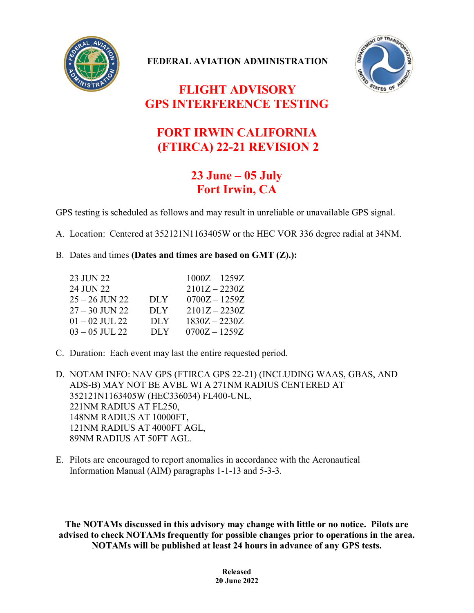

**FEDERAL AVIATION ADMINISTRATION**



## **FLIGHT ADVISORY GPS INTERFERENCE TESTING**

## **FORT IRWIN CALIFORNIA (FTIRCA) 22-21 REVISION 2**

## **23 June – 05 July Fort Irwin, CA**

GPS testing is scheduled as follows and may result in unreliable or unavailable GPS signal.

A. Location: Centered at 352121N1163405W or the HEC VOR 336 degree radial at 34NM.

B. Dates and times **(Dates and times are based on GMT (Z).):**

| 23 JUN 22        |            | $1000Z - 1259Z$ |
|------------------|------------|-----------------|
| 24 JUN 22        |            | $2101Z - 2230Z$ |
| 25 – 26 JUN 22   | <b>DLY</b> | $0700Z - 1259Z$ |
| $27 - 30$ JUN 22 | DLY        | $2101Z - 2230Z$ |
| $01 - 02$ JUL 22 | <b>DLY</b> | $1830Z - 2230Z$ |
| $03 - 05$ JUL 22 | DLY        | $0700Z - 1259Z$ |

C. Duration: Each event may last the entire requested period.

D. NOTAM INFO: NAV GPS (FTIRCA GPS 22-21) (INCLUDING WAAS, GBAS, AND ADS-B) MAY NOT BE AVBL WI A 271NM RADIUS CENTERED AT 352121N1163405W (HEC336034) FL400-UNL, 221NM RADIUS AT FL250, 148NM RADIUS AT 10000FT, 121NM RADIUS AT 4000FT AGL, 89NM RADIUS AT 50FT AGL.

E. Pilots are encouraged to report anomalies in accordance with the Aeronautical Information Manual (AIM) paragraphs 1-1-13 and 5-3-3.

**The NOTAMs discussed in this advisory may change with little or no notice. Pilots are advised to check NOTAMs frequently for possible changes prior to operations in the area. NOTAMs will be published at least 24 hours in advance of any GPS tests.**